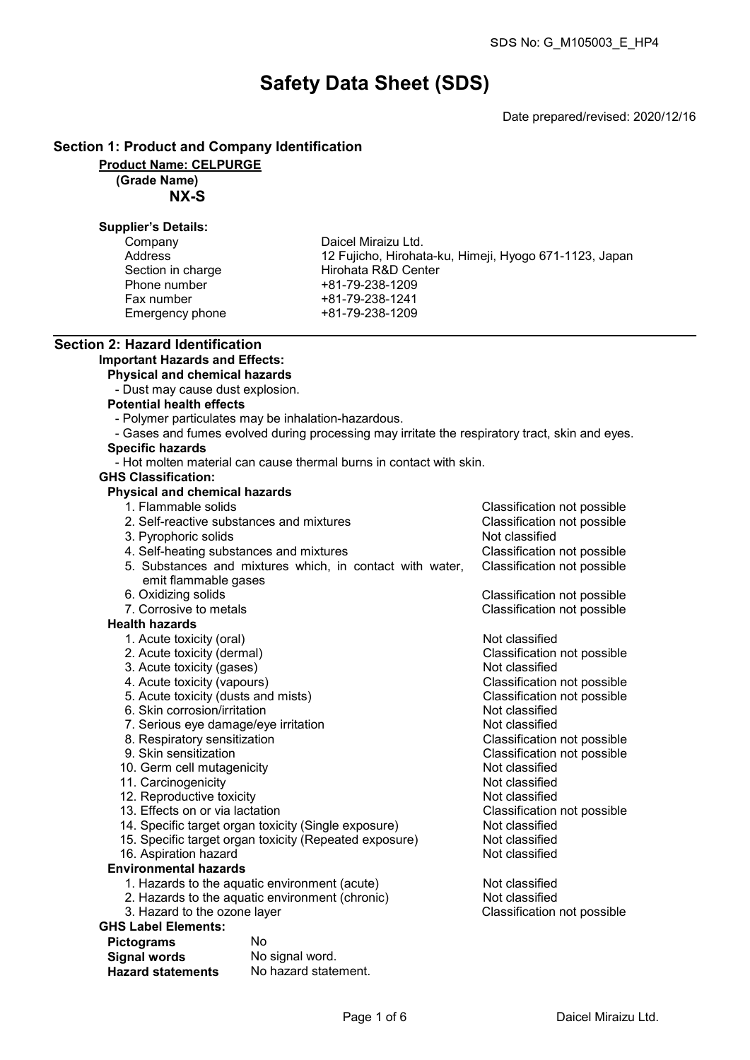# Safety Data Sheet (SDS)

Date prepared/revised: 2020/12/16

#### Section 1: Product and Company Identification

Product Name: CELPURGE

(Grade Name)

NX-S

#### Supplier's Details:

| Company           | Daicel Miraizu Ltd.    |
|-------------------|------------------------|
| Address           | 12 Fujicho, Hirohata-l |
| Section in charge | Hirohata R&D Center    |
| Phone number      | +81-79-238-1209        |
| Fax number        | +81-79-238-1241        |
| Emergency phone   | +81-79-238-1209        |

rohata-ku, Himeji, Hyogo 671-1123, Japan<br>Center

#### Section 2: Hazard Identification Important Hazards and Effects:

Physical and chemical hazards

- Dust may cause dust explosion.
- Potential health effects
	- Polymer particulates may be inhalation-hazardous.
- Gases and fumes evolved during processing may irritate the respiratory tract, skin and eyes.

## Specific hazards

- Hot molten material can cause thermal burns in contact with skin.

#### GHS Classification:

## Physical and chemical hazards

- 1. Flammable solids Classification not possible
- 2. Self-reactive substances and mixtures Classification not possible 3. Pyrophoric solids Not classified 4. Self-heating substances and mixtures Classification not possible 5. Substances and mixtures which, in contact with water, emit flammable gases Classification not possible 6. Oxidizing solids Classification not possible 7. Corrosive to metals Classification not possible Health hazards
	- 1. Acute toxicity (oral) and the contract of the Not classified
	- 2. Acute toxicity (dermal) Classification not possible
	- 3. Acute toxicity (gases) Not classified<br>
	4. Acute toxicity (vapours) Not classification<br>
	3. Acute toxicity (vapours)
	-
	- 5. Acute toxicity (dusts and mists) Classification control of the Section of Posterion not possible the Section of Posterion not possible the Section of Posterion not possible the Section of Posterion not possible the Sect
	- 6. Skin corrosion/irritation<br>
	7. Serious eve damage/eve irritation<br>
	2. Serious eve damage/eve irritation
	- 7. Serious eye damage/eye irritation Not classified
	- 8. Respiratory sensitization<br>9. Skin sensitization
	-
	- 10. Germ cell mutagenicity **Not classified**<br>11. Carcinogenicity **Not classified**
	- 11. Carcinogenicity<br>12. Reproductive toxicity Not classified<br>12. Reproductive toxicity
	- 12. Reproductive toxicity<br>13. Effects on or via lactation
	-
	- 14. Specific target organ toxicity (Single exposure) Not classified<br>15. Specific target organ toxicity (Repeated exposure) Not classified
	- 15. Specific target organ toxicity (Repeated exposure) Not classified<br>16. Aspiration hazard
	- 16. Aspiration hazard
- Environmental hazards
	- 1. Hazards to the aquatic environment (acute) Not classified
	- 2. Hazards to the aquatic environment (chronic) Not classified<br>3. Hazard to the ozone layer Same Chronic Classification not possible
	- 3. Hazard to the ozone layer

## GHS Label Elements:

| <b>Pictograms</b>        | No                   |
|--------------------------|----------------------|
| <b>Signal words</b>      | No signal word.      |
| <b>Hazard statements</b> | No hazard statement. |

Classification not possible<br>Classification not possible

Classification not possible<br>Not classified

Classification not possible<br>Not classified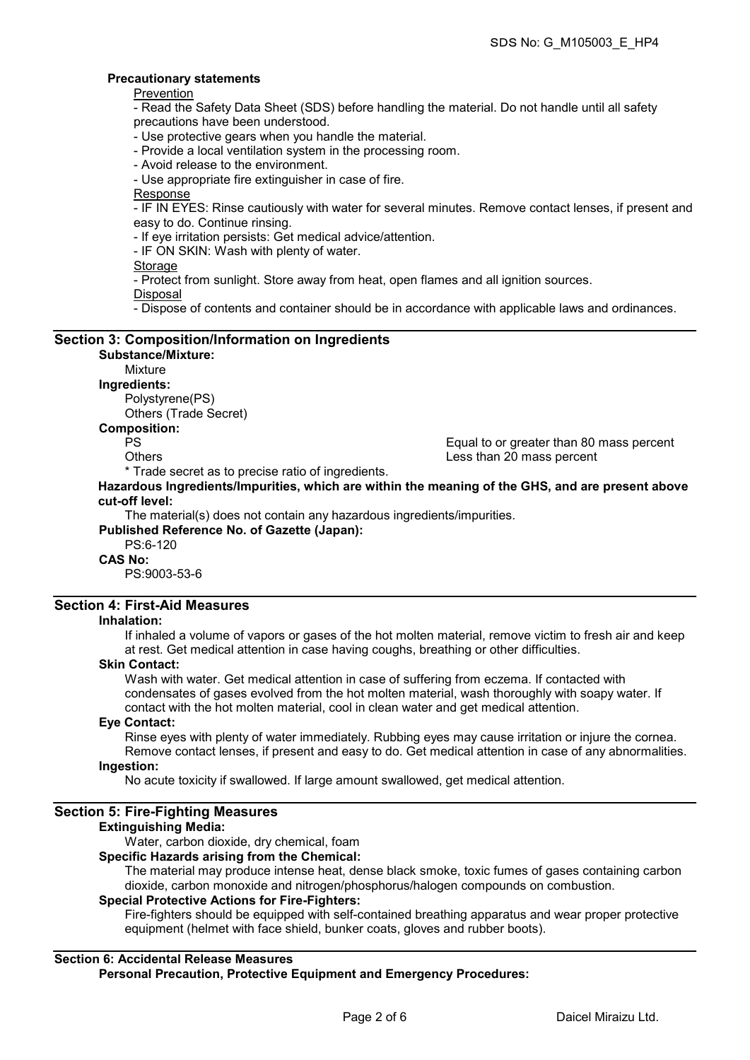#### Precautionary statements

Prevention

- Read the Safety Data Sheet (SDS) before handling the material. Do not handle until all safety precautions have been understood.

- Use protective gears when you handle the material.

- Provide a local ventilation system in the processing room.
- Avoid release to the environment.

- Use appropriate fire extinguisher in case of fire.

Response

- IF IN EYES: Rinse cautiously with water for several minutes. Remove contact lenses, if present and easy to do. Continue rinsing.

- If eye irritation persists: Get medical advice/attention.

- IF ON SKIN: Wash with plenty of water.

**Storage** 

- Protect from sunlight. Store away from heat, open flames and all ignition sources.

Disposal

- Dispose of contents and container should be in accordance with applicable laws and ordinances.

#### Section 3: Composition/Information on Ingredients Substance/Mixture:

## Mixture

Ingredients:

Polystyrene(PS) Others (Trade Secret)

#### Composition:

PS Equal to or greater than 80 mass percent

Others Less than 20 mass percent

\* Trade secret as to precise ratio of ingredients.

Hazardous Ingredients/Impurities, which are within the meaning of the GHS, and are present above cut-off level:

The material(s) does not contain any hazardous ingredients/impurities.

Published Reference No. of Gazette (Japan):

## PS:6-120

CAS No:

PS:9003-53-6

## Section 4: First-Aid Measures

#### Inhalation:

If inhaled a volume of vapors or gases of the hot molten material, remove victim to fresh air and keep at rest. Get medical attention in case having coughs, breathing or other difficulties.

#### Skin Contact:

Wash with water. Get medical attention in case of suffering from eczema. If contacted with condensates of gases evolved from the hot molten material, wash thoroughly with soapy water. If contact with the hot molten material, cool in clean water and get medical attention.

#### Eye Contact:

Rinse eyes with plenty of water immediately. Rubbing eyes may cause irritation or injure the cornea. Remove contact lenses, if present and easy to do. Get medical attention in case of any abnormalities.

#### Ingestion:

No acute toxicity if swallowed. If large amount swallowed, get medical attention.

#### Section 5: Fire-Fighting Measures

#### Extinguishing Media:

Water, carbon dioxide, dry chemical, foam

#### Specific Hazards arising from the Chemical:

The material may produce intense heat, dense black smoke, toxic fumes of gases containing carbon dioxide, carbon monoxide and nitrogen/phosphorus/halogen compounds on combustion.

#### Special Protective Actions for Fire-Fighters:

Fire-fighters should be equipped with self-contained breathing apparatus and wear proper protective equipment (helmet with face shield, bunker coats, gloves and rubber boots).

### Section 6: Accidental Release Measures

Personal Precaution, Protective Equipment and Emergency Procedures: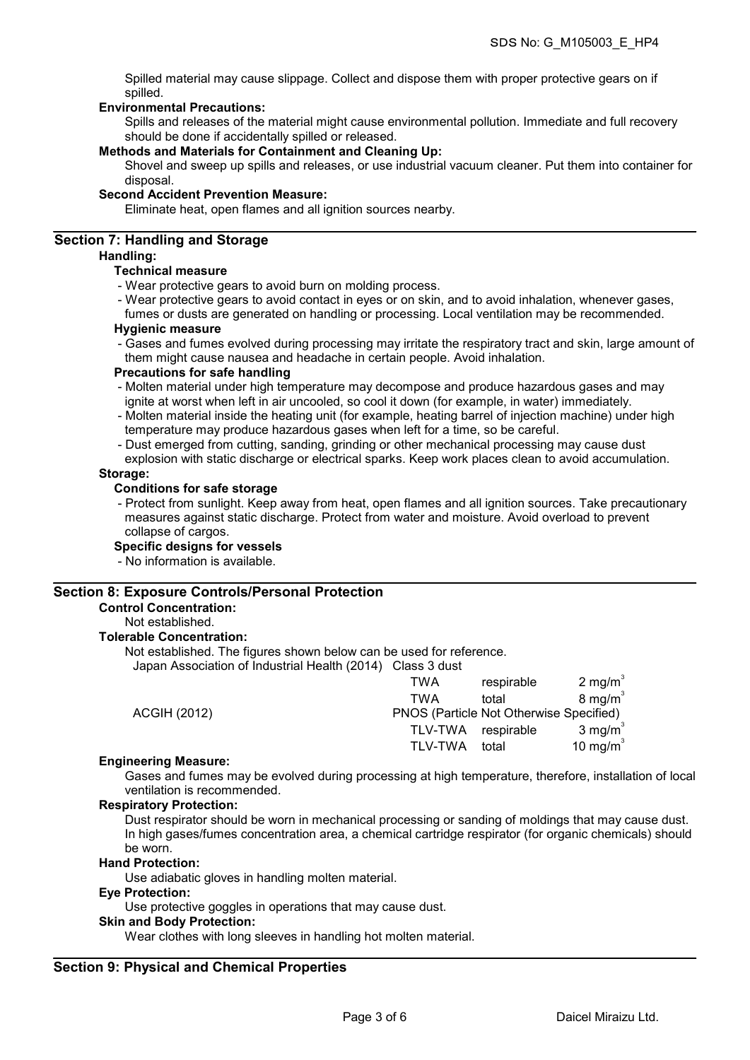Spilled material may cause slippage. Collect and dispose them with proper protective gears on if spilled.

#### Environmental Precautions:

Spills and releases of the material might cause environmental pollution. Immediate and full recovery should be done if accidentally spilled or released.

#### Methods and Materials for Containment and Cleaning Up:

Shovel and sweep up spills and releases, or use industrial vacuum cleaner. Put them into container for disposal.

#### Second Accident Prevention Measure:

Eliminate heat, open flames and all ignition sources nearby.

### Section 7: Handling and Storage

#### Handling:

#### Technical measure

- Wear protective gears to avoid burn on molding process.
- Wear protective gears to avoid contact in eyes or on skin, and to avoid inhalation, whenever gases,

fumes or dusts are generated on handling or processing. Local ventilation may be recommended. Hygienic measure

- 
- Gases and fumes evolved during processing may irritate the respiratory tract and skin, large amount of them might cause nausea and headache in certain people. Avoid inhalation.

#### Precautions for safe handling

- Molten material under high temperature may decompose and produce hazardous gases and may ignite at worst when left in air uncooled, so cool it down (for example, in water) immediately.
- Molten material inside the heating unit (for example, heating barrel of injection machine) under high temperature may produce hazardous gases when left for a time, so be careful.
- Dust emerged from cutting, sanding, grinding or other mechanical processing may cause dust
- explosion with static discharge or electrical sparks. Keep work places clean to avoid accumulation. Storage:

#### Conditions for safe storage

- Protect from sunlight. Keep away from heat, open flames and all ignition sources. Take precautionary measures against static discharge. Protect from water and moisture. Avoid overload to prevent collapse of cargos.

#### Specific designs for vessels

- No information is available.

#### Section 8: Exposure Controls/Personal Protection

#### Control Concentration:

Not established.

#### Tolerable Concentration:

Not established. The figures shown below can be used for reference.

Japan Association of Industrial Health (2014) Class 3 dust

|                     | TWA            | respirable                              | 2 mg/m $3$         |
|---------------------|----------------|-----------------------------------------|--------------------|
|                     | TWA            | total                                   | $8 \text{ mg/m}^3$ |
| <b>ACGIH (2012)</b> |                | PNOS (Particle Not Otherwise Specified) |                    |
|                     |                | TLV-TWA respirable                      | 3 mg/m $3$         |
|                     | <b>TLV-TWA</b> | total                                   | 10 mg/m $3$        |
|                     |                |                                         |                    |

#### Engineering Measure:

Gases and fumes may be evolved during processing at high temperature, therefore, installation of local ventilation is recommended.

#### Respiratory Protection:

Dust respirator should be worn in mechanical processing or sanding of moldings that may cause dust. In high gases/fumes concentration area, a chemical cartridge respirator (for organic chemicals) should be worn.

#### Hand Protection:

Use adiabatic gloves in handling molten material.

#### Eye Protection:

Use protective goggles in operations that may cause dust.

#### Skin and Body Protection:

Wear clothes with long sleeves in handling hot molten material.

#### Section 9: Physical and Chemical Properties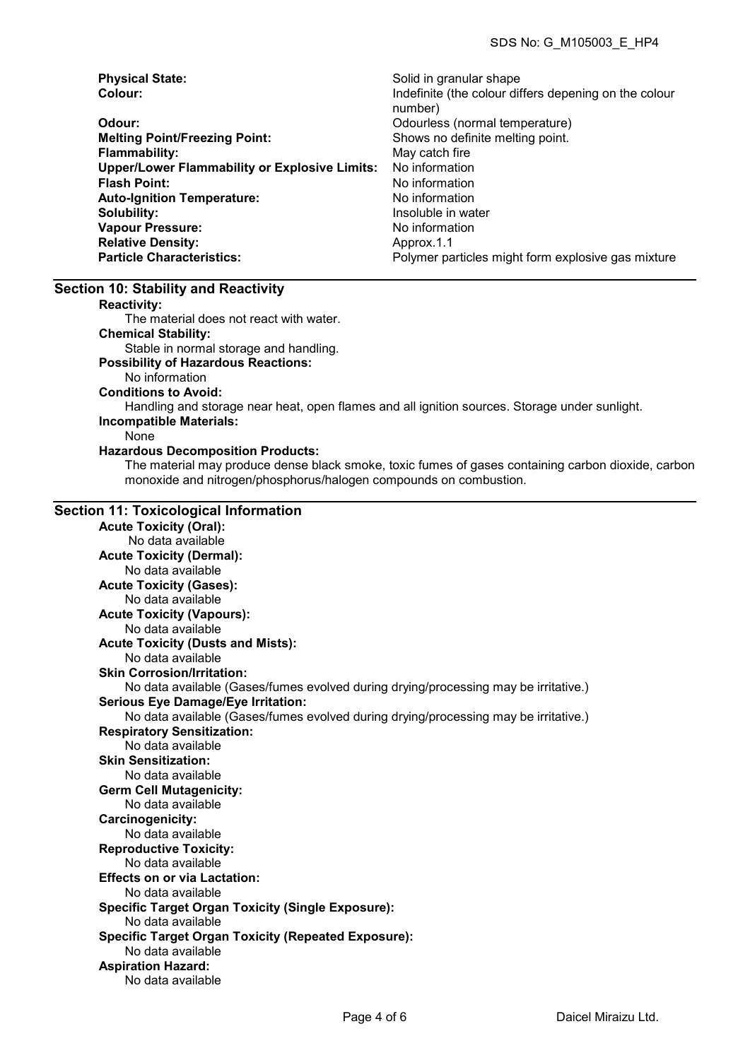| <b>Physical State:</b>                               | Solid in granular shape                               |
|------------------------------------------------------|-------------------------------------------------------|
| Colour:                                              | Indefinite (the colour differs depening on the colour |
|                                                      | number)                                               |
| Odour:                                               | Odourless (normal temperature)                        |
| <b>Melting Point/Freezing Point:</b>                 | Shows no definite melting point.                      |
| <b>Flammability:</b>                                 | May catch fire                                        |
| <b>Upper/Lower Flammability or Explosive Limits:</b> | No information                                        |
| <b>Flash Point:</b>                                  | No information                                        |
| <b>Auto-Ignition Temperature:</b>                    | No information                                        |
| Solubility:                                          | Insoluble in water                                    |
| <b>Vapour Pressure:</b>                              | No information                                        |
| <b>Relative Density:</b>                             | Approx.1.1                                            |
| <b>Particle Characteristics:</b>                     | Polymer particles might form explosive gas mixture    |

#### Section 10: Stability and Reactivity

Reactivity:

The material does not react with water.

Chemical Stability:

Stable in normal storage and handling.

#### Possibility of Hazardous Reactions:

No information

Conditions to Avoid:

Handling and storage near heat, open flames and all ignition sources. Storage under sunlight. Incompatible Materials:

#### None

#### Hazardous Decomposition Products:

The material may produce dense black smoke, toxic fumes of gases containing carbon dioxide, carbon monoxide and nitrogen/phosphorus/halogen compounds on combustion.

#### Section 11: Toxicological Information

Acute Toxicity (Oral): No data available Acute Toxicity (Dermal): No data available Acute Toxicity (Gases): No data available Acute Toxicity (Vapours): No data available Acute Toxicity (Dusts and Mists): No data available Skin Corrosion/Irritation: No data available (Gases/fumes evolved during drying/processing may be irritative.) Serious Eye Damage/Eye Irritation: No data available (Gases/fumes evolved during drying/processing may be irritative.) Respiratory Sensitization: No data available Skin Sensitization: No data available Germ Cell Mutagenicity: No data available Carcinogenicity: No data available Reproductive Toxicity: No data available Effects on or via Lactation: No data available Specific Target Organ Toxicity (Single Exposure): No data available Specific Target Organ Toxicity (Repeated Exposure): No data available Aspiration Hazard: No data available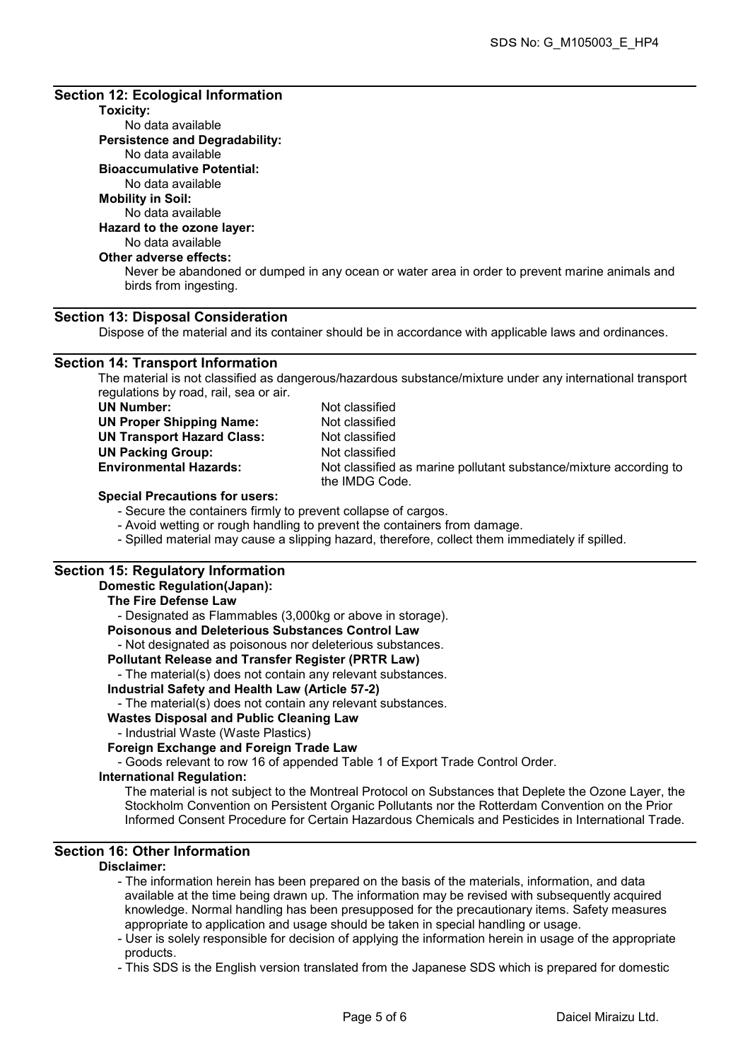#### Section 12: Ecological Information

## Toxicity:

No data available Persistence and Degradability: No data available Bioaccumulative Potential: No data available

#### Mobility in Soil:

No data available

## Hazard to the ozone layer:

## No data available

## Other adverse effects:

Never be abandoned or dumped in any ocean or water area in order to prevent marine animals and birds from ingesting.

## Section 13: Disposal Consideration

Dispose of the material and its container should be in accordance with applicable laws and ordinances.

#### Section 14: Transport Information

The material is not classified as dangerous/hazardous substance/mixture under any international transport regulations by road, rail, sea or air.

| UN Number:                        |
|-----------------------------------|
| <b>UN Proper Shipping Name:</b>   |
| <b>UN Transport Hazard Class:</b> |
| <b>UN Packing Group:</b>          |
| <b>Environmental Hazards:</b>     |
|                                   |

Not classified Not classified Not classified Not classified Not classified as marine pollutant substance/mixture according to the IMDG Code.

#### Special Precautions for users:

- Secure the containers firmly to prevent collapse of cargos.

- Avoid wetting or rough handling to prevent the containers from damage.
- Spilled material may cause a slipping hazard, therefore, collect them immediately if spilled.

## Section 15: Regulatory Information

#### Domestic Regulation(Japan):

## The Fire Defense Law - Designated as Flammables (3,000kg or above in storage).

Poisonous and Deleterious Substances Control Law

- Not designated as poisonous nor deleterious substances.

#### Pollutant Release and Transfer Register (PRTR Law)

- The material(s) does not contain any relevant substances.

#### Industrial Safety and Health Law (Article 57-2)

- The material(s) does not contain any relevant substances.

## Wastes Disposal and Public Cleaning Law

- Industrial Waste (Waste Plastics)

## Foreign Exchange and Foreign Trade Law

- Goods relevant to row 16 of appended Table 1 of Export Trade Control Order.

#### International Regulation:

The material is not subject to the Montreal Protocol on Substances that Deplete the Ozone Layer, the Stockholm Convention on Persistent Organic Pollutants nor the Rotterdam Convention on the Prior Informed Consent Procedure for Certain Hazardous Chemicals and Pesticides in International Trade.

## Section 16: Other Information

#### Disclaimer:

- The information herein has been prepared on the basis of the materials, information, and data available at the time being drawn up. The information may be revised with subsequently acquired knowledge. Normal handling has been presupposed for the precautionary items. Safety measures appropriate to application and usage should be taken in special handling or usage.

- User is solely responsible for decision of applying the information herein in usage of the appropriate products.

- This SDS is the English version translated from the Japanese SDS which is prepared for domestic